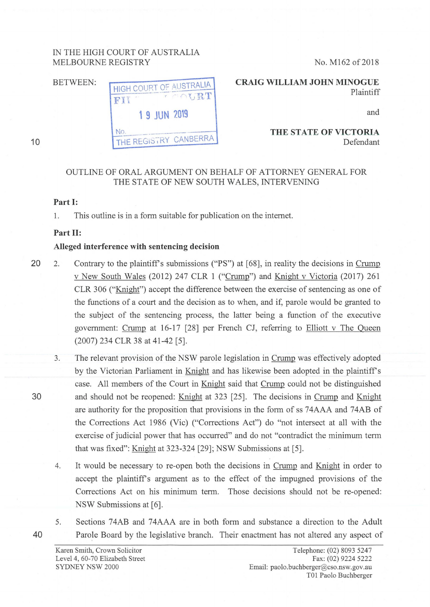# IN THE HIGH COURT OF AUSTRALIA MELBOURNE REGISTRY

BETWEEN: HIGH COURT OF AUSTRALIA  $\mathbf{r}$  ,  $\mathbf{R}$   $\mathbf{T}$ FII  $\frac{1}{2}$ **1 9 JUN 2019** No. THE REGISTRY CANBERRA

No. M162 of 2018

**CRAIG WILLIAM JOHN MINOGUE**  Plaintiff

and

**THE STATE OF VICTORIA**  Defendant

# OUTLINE OF ORAL ARGUMENT ON BEHALF OF ATTORNEY GENERAL FOR THE STATE OF NEW SOUTH WALES, INTERVENING

## **Part I:**

10

1. This outline is in a form suitable for publication on the internet.

### **Part II:**

#### **Alleged interference with sentencing decision**

- 20 2. Contrary to the plaintiff's submissions ("PS") at [68], in reality the decisions in Crump v New South Wales (2012) 247 CLR 1 ("Crump") and Knight v Victoria (2017) 261 CLR 306 ("Knight") accept the difference between the exercise of sentencing as one of the functions of a court and the decision as to when, and if, parole would be granted to the subject of the sentencing process, the latter being a function of the executive government: Crump at 16-17 [28] per French CJ, referring to Elliott v The Queen (2007) 234 CLR 38 at 41-42 [5].
- 3. The relevant provision of the NSW parole legislation in Crump was effectively adopted by the Victorian Parliament in Knight and has likewise been adopted in the plaintiffs case. All members of the Court in Knight said that Crump could not be distinguished 30 and should not be reopened: Knight at 323 [25]. The decisions in Crump and Knight are authority for the proposition that provisions in the form of ss 74AAA and 74AB of the Corrections Act 1986 (Vic) ("Corrections Act") do "not intersect at all with the exercise of judicial power that has occurred" and do not "contradict the minimum term that was fixed": Knight at 323-324 [29]; NSW Submissions at [5].
	- 4. It would be necessary to re-open both the decisions in Crump and Knight in order to accept the plaintiffs argument as to the effect of the impugned provisions of the Corrections Act on his minimum term. Those decisions should not be re-opened: NSW Submissions at [6].
	- 5. Sections 74AB and 74AAA are in both form and substance a direction to the Adult Parole Board by the legislative branch. Their enactment has not altered any aspect of

40